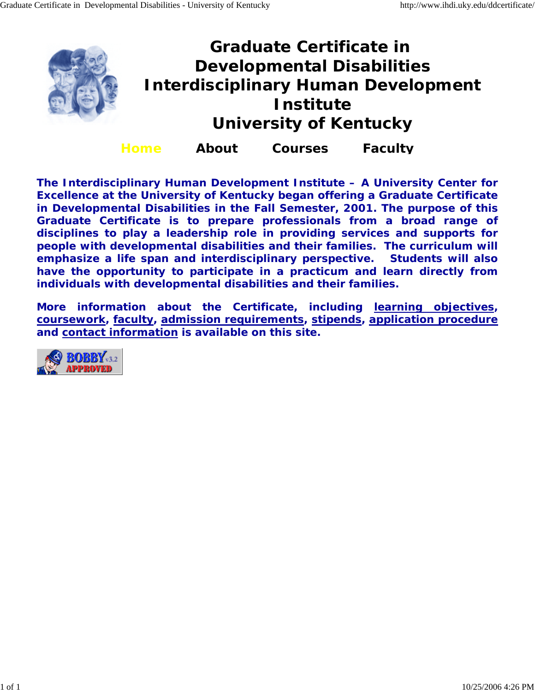

**The Interdisciplinary Human Development Institute – A University Center for Excellence at the University of Kentucky began offering a Graduate Certificate in Developmental Disabilities in the Fall Semester, 2001. The purpose of this Graduate Certificate is to prepare professionals from a broad range of disciplines to play a leadership role in providing services and supports for people with developmental disabilities and their families. The curriculum will emphasize a life span and interdisciplinary perspective. Students will also have the opportunity to participate in a practicum and learn directly from individuals with developmental disabilities and their families.**

**More information about the Certificate, including learning objectives, coursework, faculty, admission requirements, stipends, application procedure and contact information is available on this site.**

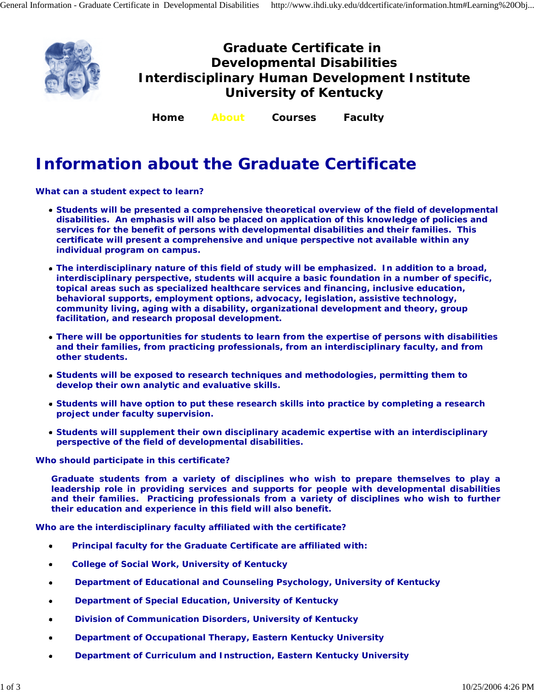

## *Information about the Graduate Certificate*

**What can a student expect to learn?**

- **Students will be presented a comprehensive theoretical overview of the field of developmental disabilities. An emphasis will also be placed on application of this knowledge of policies and services for the benefit of persons with developmental disabilities and their families. This certificate will present a comprehensive and unique perspective not available within any individual program on campus.**
- **The interdisciplinary nature of this field of study will be emphasized. In addition to a broad, interdisciplinary perspective, students will acquire a basic foundation in a number of specific, topical areas such as specialized healthcare services and financing, inclusive education, behavioral supports, employment options, advocacy, legislation, assistive technology, community living, aging with a disability, organizational development and theory, group facilitation, and research proposal development.**
- **There will be opportunities for students to learn from the expertise of persons with disabilities and their families, from practicing professionals, from an interdisciplinary faculty, and from other students.**
- **Students will be exposed to research techniques and methodologies, permitting them to develop their own analytic and evaluative skills.**
- **Students will have option to put these research skills into practice by completing a research project under faculty supervision.**
- **Students will supplement their own disciplinary academic expertise with an interdisciplinary perspective of the field of developmental disabilities.**

**Who should participate in this certificate?**

**Graduate students from a variety of disciplines who wish to prepare themselves to play a leadership role in providing services and supports for people with developmental disabilities and their families. Practicing professionals from a variety of disciplines who wish to further their education and experience in this field will also benefit.**

**Who are the interdisciplinary faculty affiliated with the certificate?**

- $\bullet$ **Principal faculty for the Graduate Certificate are affiliated with:**
- **College of Social Work, University of Kentucky**  $\bullet$
- **Department of Educational and Counseling Psychology, University of Kentucky**  $\bullet$
- **Department of Special Education, University of Kentucky**  $\bullet$
- **Division of Communication Disorders, University of Kentucky**  $\bullet$
- **Department of Occupational Therapy, Eastern Kentucky University**
- **Department of Curriculum and Instruction, Eastern Kentucky University**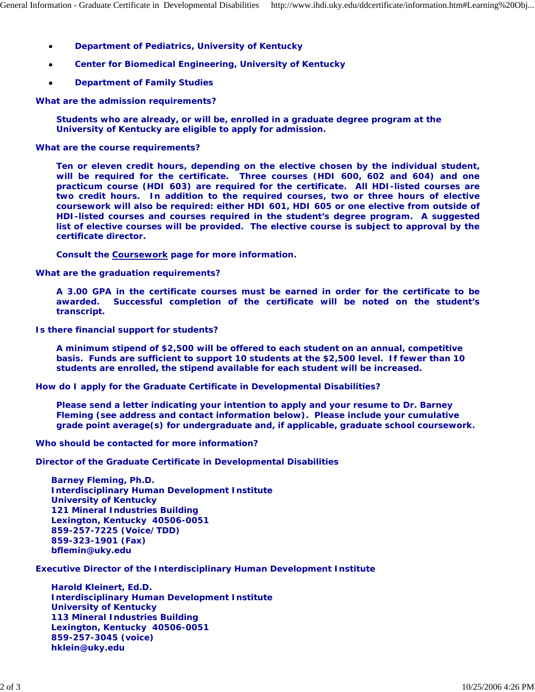- **Department of Pediatrics, University of Kentucky**  $\bullet$
- **Center for Biomedical Engineering, University of Kentucky**
- **Department of Family Studies**

**What are the admission requirements?**

**Students who are already, or will be, enrolled in a graduate degree program at the University of Kentucky are eligible to apply for admission.**

**What are the course requirements?**

**Ten or eleven credit hours, depending on the elective chosen by the individual student, will be required for the certificate. Three courses (HDI 600, 602 and 604) and one practicum course (HDI 603) are required for the certificate. All HDI-listed courses are two credit hours. In addition to the required courses, two or three hours of elective coursework will also be required: either HDI 601, HDI 605 or one elective from outside of HDI-listed courses and courses required in the student's degree program. A suggested list of elective courses will be provided. The elective course is subject to approval by the certificate director.**

**Consult the Coursework page for more information.**

**What are the graduation requirements?**

**A 3.00 GPA in the certificate courses must be earned in order for the certificate to be awarded. Successful completion of the certificate will be noted on the student's transcript.**

**Is there financial support for students?**

**A minimum stipend of \$2,500 will be offered to each student on an annual, competitive basis. Funds are sufficient to support 10 students at the \$2,500 level. If fewer than 10 students are enrolled, the stipend available for each student will be increased.**

**How do I apply for the Graduate Certificate in Developmental Disabilities?**

**Please send a letter indicating your intention to apply and your resume to Dr. Barney Fleming (see address and contact information below). Please include your cumulative grade point average(s) for undergraduate and, if applicable, graduate school coursework.**

**Who should be contacted for more information?**

**Director of the Graduate Certificate in Developmental Disabilities**

**Barney Fleming, Ph.D. Interdisciplinary Human Development Institute University of Kentucky 121 Mineral Industries Building Lexington, Kentucky 40506-0051 859-257-7225 (Voice/TDD) 859-323-1901 (Fax) bflemin@uky.edu**

**Executive Director of the Interdisciplinary Human Development Institute**

**Harold Kleinert, Ed.D. Interdisciplinary Human Development Institute University of Kentucky 113 Mineral Industries Building Lexington, Kentucky 40506-0051 859-257-3045 (voice) hklein@uky.edu**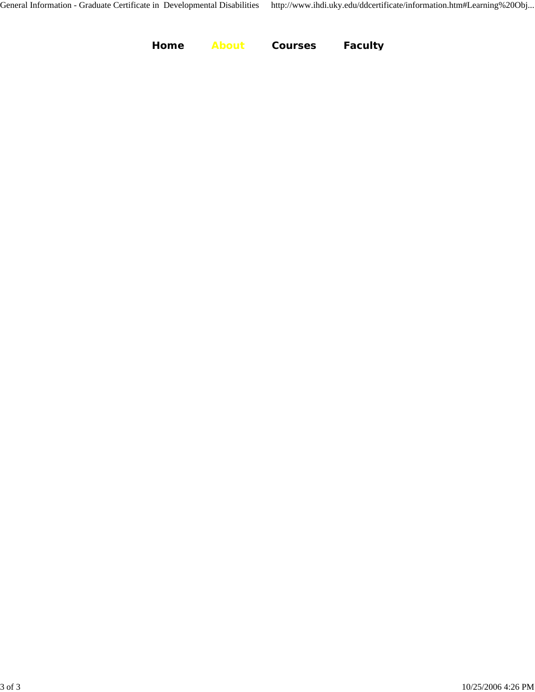*Home About Courses Faculty*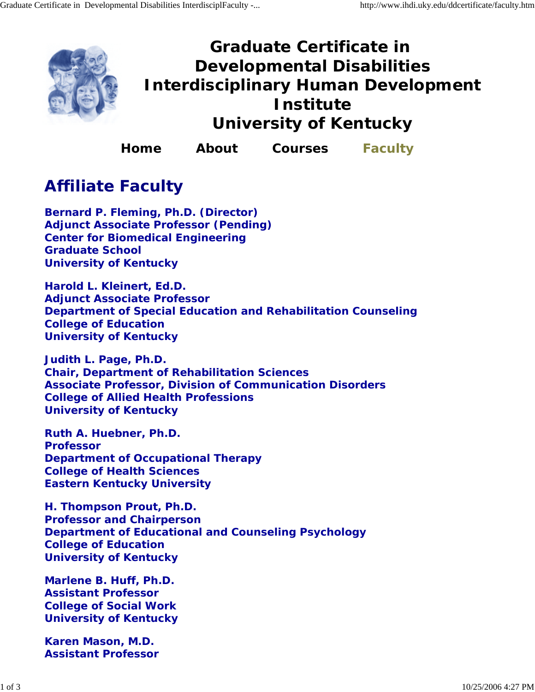

*Graduate Certificate in Developmental Disabilities Interdisciplinary Human Development Institute University of Kentucky*

*Home About Courses Faculty*

## *Affiliate Faculty*

**Bernard P. Fleming, Ph.D. (Director) Adjunct Associate Professor (Pending) Center for Biomedical Engineering Graduate School University of Kentucky** 

**Harold L. Kleinert, Ed.D. Adjunct Associate Professor Department of Special Education and Rehabilitation Counseling College of Education University of Kentucky**

**Judith L. Page, Ph.D. Chair, Department of Rehabilitation Sciences Associate Professor, Division of Communication Disorders College of Allied Health Professions University of Kentucky**

**Ruth A. Huebner, Ph.D. Professor Department of Occupational Therapy College of Health Sciences Eastern Kentucky University**

**H. Thompson Prout, Ph.D. Professor and Chairperson Department of Educational and Counseling Psychology College of Education University of Kentucky**

**Marlene B. Huff, Ph.D. Assistant Professor College of Social Work University of Kentucky**

**Karen Mason, M.D. Assistant Professor**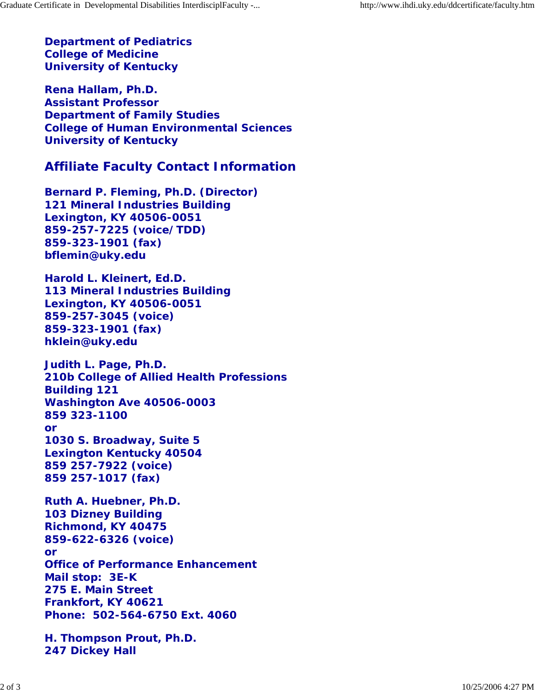**Department of Pediatrics College of Medicine University of Kentucky**

**Rena Hallam, Ph.D. Assistant Professor Department of Family Studies College of Human Environmental Sciences University of Kentucky**

## *Affiliate Faculty Contact Information*

**Bernard P. Fleming, Ph.D. (Director) 121 Mineral Industries Building Lexington, KY 40506-0051 859-257-7225 (voice/TDD) 859-323-1901 (fax) bflemin@uky.edu**

**Harold L. Kleinert, Ed.D. 113 Mineral Industries Building Lexington, KY 40506-0051 859-257-3045 (voice) 859-323-1901 (fax) hklein@uky.edu**

**Judith L. Page, Ph.D. 210b College of Allied Health Professions Building 121 Washington Ave 40506-0003 859 323-1100 or 1030 S. Broadway, Suite 5 Lexington Kentucky 40504 859 257-7922 (voice) 859 257-1017 (fax)**

**Ruth A. Huebner, Ph.D. 103 Dizney Building Richmond, KY 40475 859-622-6326 (voice) or Office of Performance Enhancement Mail stop: 3E-K 275 E. Main Street Frankfort, KY 40621 Phone: 502-564-6750 Ext. 4060**

**H. Thompson Prout, Ph.D. 247 Dickey Hall**